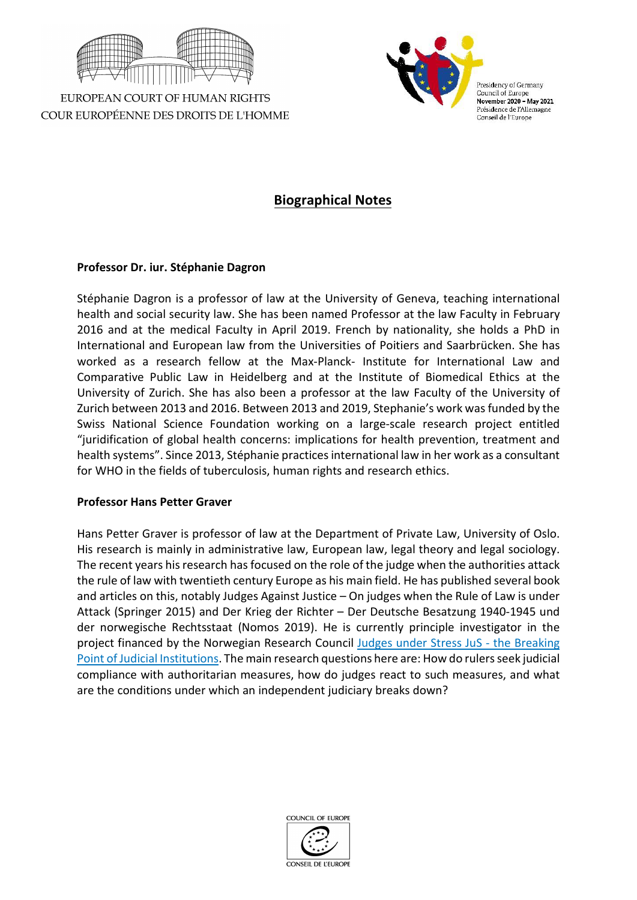

EUROPEAN COURT OF HUMAN RIGHTS COUR EUROPÉENNE DES DROITS DE L'HOMME



# **Biographical Notes**

## **Professor Dr. iur. Stéphanie Dagron**

Stéphanie Dagron is a professor of law at the University of Geneva, teaching international health and social security law. She has been named Professor at the law Faculty in February 2016 and at the medical Faculty in April 2019. French by nationality, she holds a PhD in International and European law from the Universities of Poitiers and Saarbrücken. She has worked as a research fellow at the Max-Planck- Institute for International Law and Comparative Public Law in Heidelberg and at the Institute of Biomedical Ethics at the University of Zurich. She has also been a professor at the law Faculty of the University of Zurich between 2013 and 2016. Between 2013 and 2019, Stephanie's work was funded by the Swiss National Science Foundation working on a large-scale research project entitled "juridification of global health concerns: implications for health prevention, treatment and health systems". Since 2013, Stéphanie practices international law in her work as a consultant for WHO in the fields of tuberculosis, human rights and research ethics.

### **Professor Hans Petter Graver**

Hans Petter Graver is professor of law at the Department of Private Law, University of Oslo. His research is mainly in administrative law, European law, legal theory and legal sociology. The recent years his research has focused on the role of the judge when the authorities attack the rule of law with twentieth century Europe as his main field. He has published several book and articles on this, notably Judges Against Justice – On judges when the Rule of Law is under Attack (Springer 2015) and Der Krieg der Richter – Der Deutsche Besatzung 1940-1945 und der norwegische Rechtsstaat (Nomos 2019). He is currently principle investigator in the project financed by the Norwegian Research Council Judges [under Stress JuS - the Breaking](https://www.jus.uio.no/ifp/english/research/projects/jus/)  [Point of Judicial Institutions.](https://www.jus.uio.no/ifp/english/research/projects/jus/) The main research questions here are: How do rulers seek judicial compliance with authoritarian measures, how do judges react to such measures, and what are the conditions under which an independent judiciary breaks down?

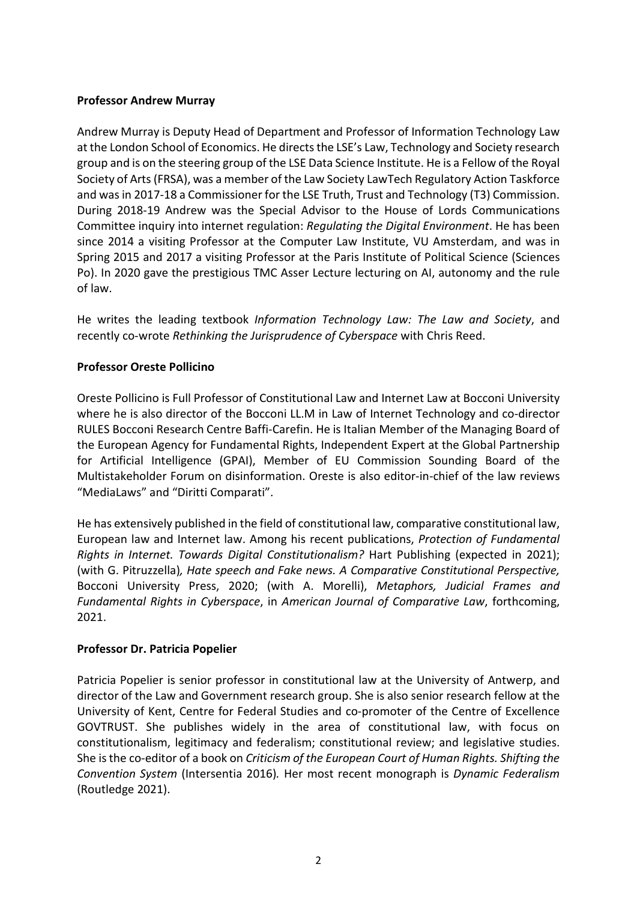## **Professor Andrew Murray**

Andrew Murray is Deputy Head of Department and Professor of Information Technology Law at the London School of Economics. He directs the LSE's Law, Technology and Society research group and is on the steering group of the LSE Data Science Institute. He is a Fellow of the Royal Society of Arts (FRSA), was a member of the Law Society LawTech Regulatory Action Taskforce and was in 2017-18 a Commissioner for the LSE Truth, Trust and Technology (T3) Commission. During 2018-19 Andrew was the Special Advisor to the House of Lords Communications Committee inquiry into internet regulation: *Regulating the Digital Environment*. He has been since 2014 a visiting Professor at the Computer Law Institute, VU Amsterdam, and was in Spring 2015 and 2017 a visiting Professor at the Paris Institute of Political Science (Sciences Po). In 2020 gave the prestigious TMC Asser Lecture lecturing on AI, autonomy and the rule of law.

He writes the leading textbook *Information Technology Law: The Law and Society*, and recently co-wrote *Rethinking the Jurisprudence of Cyberspace* with Chris Reed.

## **Professor Oreste Pollicino**

Oreste Pollicino is Full Professor of Constitutional Law and Internet Law at Bocconi University where he is also director of the Bocconi LL.M in Law of Internet Technology and co-director RULES Bocconi Research Centre Baffi-Carefin. He is Italian Member of the Managing Board of the European Agency for Fundamental Rights, Independent Expert at the Global Partnership for Artificial Intelligence (GPAI), Member of EU Commission Sounding Board of the Multistakeholder Forum on disinformation. Oreste is also editor-in-chief of the law reviews "MediaLaws" and "Diritti Comparati".

He has extensively published in the field of constitutional law, comparative constitutional law, European law and Internet law. Among his recent publications, *Protection of Fundamental Rights in Internet. Towards Digital Constitutionalism?* Hart Publishing (expected in 2021); (with G. Pitruzzella)*, Hate speech and Fake news. A Comparative Constitutional Perspective,*  Bocconi University Press, 2020; (with A. Morelli), *Metaphors, Judicial Frames and Fundamental Rights in Cyberspace*, in *American Journal of Comparative Law*, forthcoming, 2021.

### **Professor Dr. Patricia Popelier**

Patricia Popelier is senior professor in constitutional law at the University of Antwerp, and director of the Law and Government research group. She is also senior research fellow at the University of Kent, Centre for Federal Studies and co-promoter of the Centre of Excellence GOVTRUST. She publishes widely in the area of constitutional law, with focus on constitutionalism, legitimacy and federalism; constitutional review; and legislative studies. She is the co-editor of a book on *Criticism of the European Court of Human Rights. Shifting the Convention System* (Intersentia 2016)*.* Her most recent monograph is *Dynamic Federalism*  (Routledge 2021).